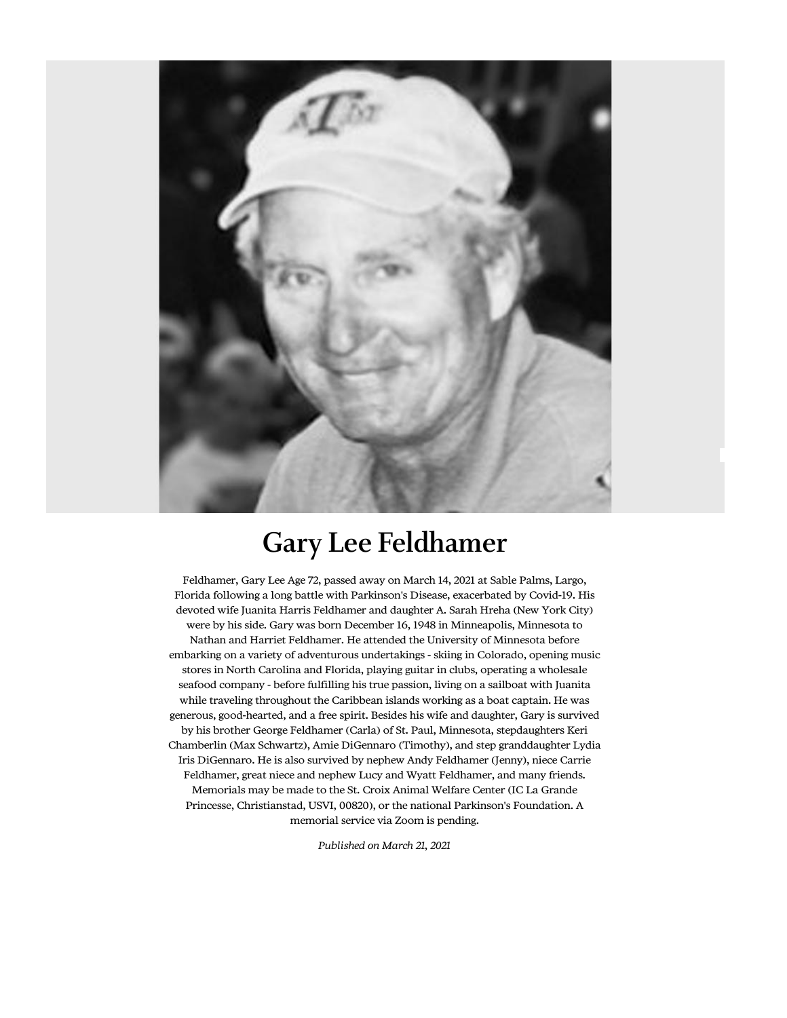

## Gary Lee Feldhamer

Feldhamer, Gary Lee Age 72, passed away on March 14, 2021 at Sable Palms, Largo, Florida following a long battle with Parkinson's Disease, exacerbated by Covid-19. His devoted wife Juanita Harris Feldhamer and daughter A. Sarah Hreha (New York City) were by his side. Gary was born December 16, 1948 in Minneapolis, Minnesota to Nathan and Harriet Feldhamer. He attended the University of Minnesota before embarking on a variety of adventurous undertakings - skiing in Colorado, opening music stores in North Carolina and Florida, playing guitar in clubs, operating a wholesale seafood company - before fulfilling his true passion, living on a sailboat with Juanita while traveling throughout the Caribbean islands working as a boat captain. He was generous, good-hearted, and a free spirit. Besides his wife and daughter, Gary is survived by his brother George Feldhamer (Carla) of St. Paul, Minnesota, stepdaughters Keri Chamberlin (Max Schwartz), Amie DiGennaro (Timothy), and step granddaughter Lydia Iris DiGennaro. He is also survived by nephew Andy Feldhamer (Jenny), niece Carrie Feldhamer, great niece and nephew Lucy and Wyatt Feldhamer, and many friends. Memorials may be made to the St. Croix Animal Welfare Center (IC La Grande Princesse, Christianstad, USVI, 00820), or the national Parkinson's Foundation. A memorial service via Zoom is pending.

Published on March 21, 2021